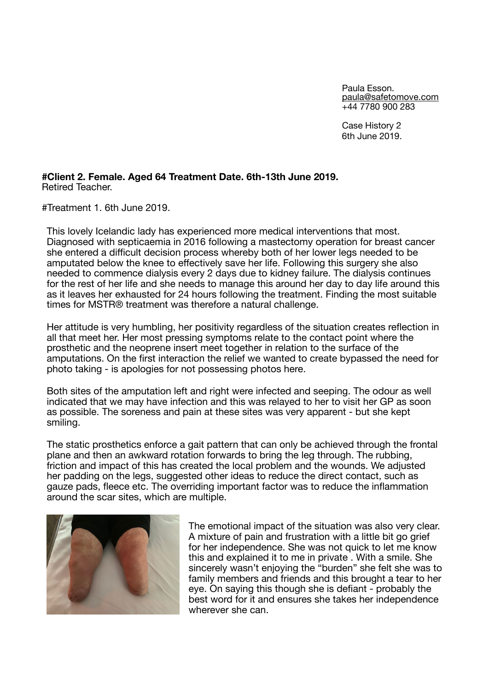Paula Esson. [paula@safetomove.com](mailto:paula@safetomove.com) +44 7780 900 283

Case History 2 6th June 2019.

## **#Client 2. Female. Aged 64 Treatment Date. 6th-13th June 2019.**  Retired Teacher.

#Treatment 1. 6th June 2019.

This lovely Icelandic lady has experienced more medical interventions that most. Diagnosed with septicaemia in 2016 following a mastectomy operation for breast cancer she entered a difficult decision process whereby both of her lower legs needed to be amputated below the knee to effectively save her life. Following this surgery she also needed to commence dialysis every 2 days due to kidney failure. The dialysis continues for the rest of her life and she needs to manage this around her day to day life around this as it leaves her exhausted for 24 hours following the treatment. Finding the most suitable times for MSTR® treatment was therefore a natural challenge.

Her attitude is very humbling, her positivity regardless of the situation creates reflection in all that meet her. Her most pressing symptoms relate to the contact point where the prosthetic and the neoprene insert meet together in relation to the surface of the amputations. On the first interaction the relief we wanted to create bypassed the need for photo taking - is apologies for not possessing photos here.

Both sites of the amputation left and right were infected and seeping. The odour as well indicated that we may have infection and this was relayed to her to visit her GP as soon as possible. The soreness and pain at these sites was very apparent - but she kept smiling.

The static prosthetics enforce a gait pattern that can only be achieved through the frontal plane and then an awkward rotation forwards to bring the leg through. The rubbing, friction and impact of this has created the local problem and the wounds. We adjusted her padding on the legs, suggested other ideas to reduce the direct contact, such as gauze pads, fleece etc. The overriding important factor was to reduce the inflammation around the scar sites, which are multiple.



The emotional impact of the situation was also very clear. A mixture of pain and frustration with a little bit go grief for her independence. She was not quick to let me know this and explained it to me in private . With a smile. She sincerely wasn't enjoying the "burden" she felt she was to family members and friends and this brought a tear to her eye. On saying this though she is defiant - probably the best word for it and ensures she takes her independence wherever she can.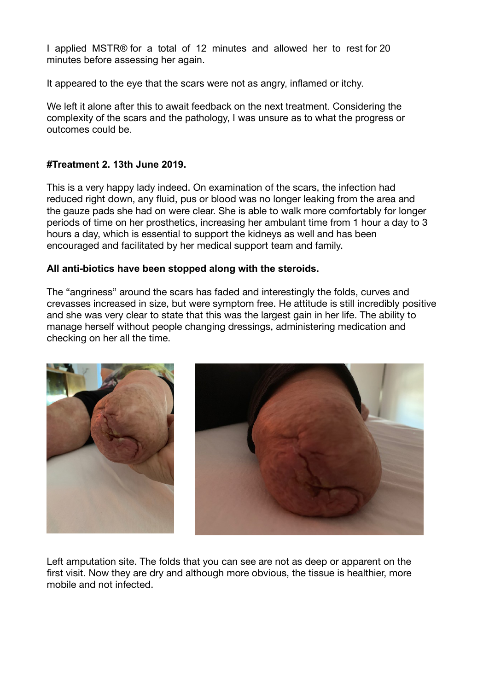I applied MSTR® for a total of 12 minutes and allowed her to rest for 20 minutes before assessing her again.

It appeared to the eye that the scars were not as angry, inflamed or itchy.

We left it alone after this to await feedback on the next treatment. Considering the complexity of the scars and the pathology, I was unsure as to what the progress or outcomes could be.

## **#Treatment 2. 13th June 2019.**

This is a very happy lady indeed. On examination of the scars, the infection had reduced right down, any fluid, pus or blood was no longer leaking from the area and the gauze pads she had on were clear. She is able to walk more comfortably for longer periods of time on her prosthetics, increasing her ambulant time from 1 hour a day to 3 hours a day, which is essential to support the kidneys as well and has been encouraged and facilitated by her medical support team and family.

## **All anti-biotics have been stopped along with the steroids.**

The "angriness" around the scars has faded and interestingly the folds, curves and crevasses increased in size, but were symptom free. He attitude is still incredibly positive and she was very clear to state that this was the largest gain in her life. The ability to manage herself without people changing dressings, administering medication and checking on her all the time.



Left amputation site. The folds that you can see are not as deep or apparent on the first visit. Now they are dry and although more obvious, the tissue is healthier, more mobile and not infected.